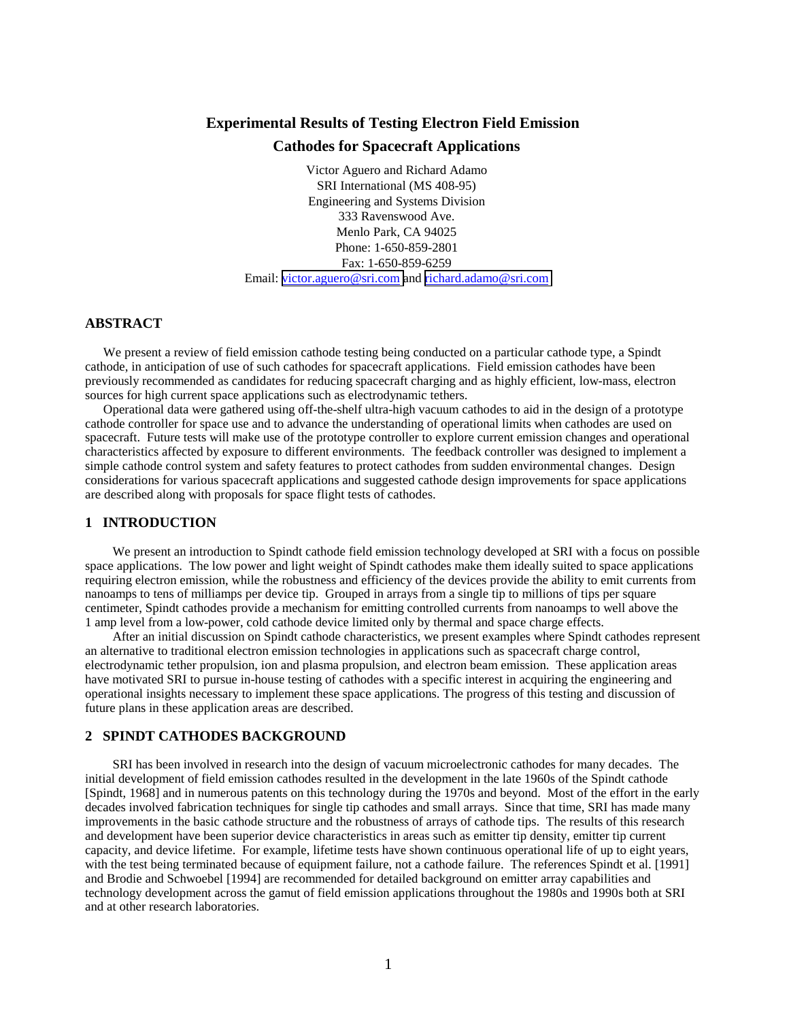# **Experimental Results of Testing Electron Field Emission Cathodes for Spacecraft Applications**

Victor Aguero and Richard Adamo SRI International (MS 408-95) Engineering and Systems Division 333 Ravenswood Ave. Menlo Park, CA 94025 Phone: 1-650-859-2801 Fax: 1-650-859-6259 Email: [victor.aguero@sri.com a](mailto:victor.aguero@sri.com)nd [richard.adamo@sri.com](mailto:richard.adamo@sri.com)

# **ABSTRACT**

We present a review of field emission cathode testing being conducted on a particular cathode type, a Spindt cathode, in anticipation of use of such cathodes for spacecraft applications. Field emission cathodes have been previously recommended as candidates for reducing spacecraft charging and as highly efficient, low-mass, electron sources for high current space applications such as electrodynamic tethers.

Operational data were gathered using off-the-shelf ultra-high vacuum cathodes to aid in the design of a prototype cathode controller for space use and to advance the understanding of operational limits when cathodes are used on spacecraft. Future tests will make use of the prototype controller to explore current emission changes and operational characteristics affected by exposure to different environments. The feedback controller was designed to implement a simple cathode control system and safety features to protect cathodes from sudden environmental changes. Design considerations for various spacecraft applications and suggested cathode design improvements for space applications are described along with proposals for space flight tests of cathodes.

### **1 INTRODUCTION**

We present an introduction to Spindt cathode field emission technology developed at SRI with a focus on possible space applications. The low power and light weight of Spindt cathodes make them ideally suited to space applications requiring electron emission, while the robustness and efficiency of the devices provide the ability to emit currents from nanoamps to tens of milliamps per device tip. Grouped in arrays from a single tip to millions of tips per square centimeter, Spindt cathodes provide a mechanism for emitting controlled currents from nanoamps to well above the 1 amp level from a low-power, cold cathode device limited only by thermal and space charge effects.

After an initial discussion on Spindt cathode characteristics, we present examples where Spindt cathodes represent an alternative to traditional electron emission technologies in applications such as spacecraft charge control, electrodynamic tether propulsion, ion and plasma propulsion, and electron beam emission. These application areas have motivated SRI to pursue in-house testing of cathodes with a specific interest in acquiring the engineering and operational insights necessary to implement these space applications. The progress of this testing and discussion of future plans in these application areas are described.

# **2 SPINDT CATHODES BACKGROUND**

SRI has been involved in research into the design of vacuum microelectronic cathodes for many decades. The initial development of field emission cathodes resulted in the development in the late 1960s of the Spindt cathode [Spindt, 1968] and in numerous patents on this technology during the 1970s and beyond. Most of the effort in the early decades involved fabrication techniques for single tip cathodes and small arrays. Since that time, SRI has made many improvements in the basic cathode structure and the robustness of arrays of cathode tips. The results of this research and development have been superior device characteristics in areas such as emitter tip density, emitter tip current capacity, and device lifetime. For example, lifetime tests have shown continuous operational life of up to eight years, with the test being terminated because of equipment failure, not a cathode failure. The references Spindt et al. [1991] and Brodie and Schwoebel [1994] are recommended for detailed background on emitter array capabilities and technology development across the gamut of field emission applications throughout the 1980s and 1990s both at SRI and at other research laboratories.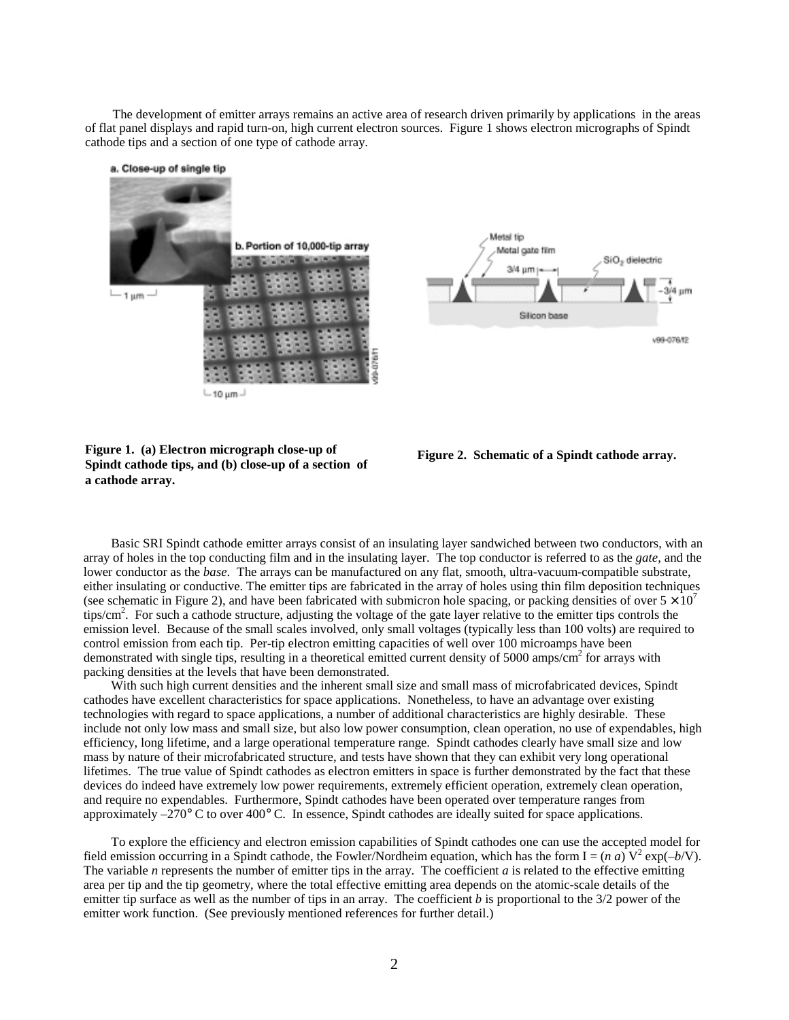The development of emitter arrays remains an active area of research driven primarily by applications in the areas of flat panel displays and rapid turn-on, high current electron sources. Figure 1 shows electron micrographs of Spindt cathode tips and a section of one type of cathode array.



10 µm



**Figure 1. (a) Electron micrograph close-up of Spindt cathode tips, and (b) close-up of a section of a cathode array.** 



Basic SRI Spindt cathode emitter arrays consist of an insulating layer sandwiched between two conductors, with an array of holes in the top conducting film and in the insulating layer. The top conductor is referred to as the *gate*, and the lower conductor as the *base*. The arrays can be manufactured on any flat, smooth, ultra-vacuum-compatible substrate, either insulating or conductive. The emitter tips are fabricated in the array of holes using thin film deposition techniques (see schematic in Figure 2), and have been fabricated with submicron hole spacing, or packing densities of over  $5 \times 10^{7}$ tips/cm<sup>2</sup>. For such a cathode structure, adjusting the voltage of the gate layer relative to the emitter tips controls the emission level. Because of the small scales involved, only small voltages (typically less than 100 volts) are required to control emission from each tip. Per-tip electron emitting capacities of well over 100 microamps have been demonstrated with single tips, resulting in a theoretical emitted current density of 5000 amps/cm<sup>2</sup> for arrays with packing densities at the levels that have been demonstrated.

With such high current densities and the inherent small size and small mass of microfabricated devices, Spindt cathodes have excellent characteristics for space applications. Nonetheless, to have an advantage over existing technologies with regard to space applications, a number of additional characteristics are highly desirable. These include not only low mass and small size, but also low power consumption, clean operation, no use of expendables, high efficiency, long lifetime, and a large operational temperature range. Spindt cathodes clearly have small size and low mass by nature of their microfabricated structure, and tests have shown that they can exhibit very long operational lifetimes. The true value of Spindt cathodes as electron emitters in space is further demonstrated by the fact that these devices do indeed have extremely low power requirements, extremely efficient operation, extremely clean operation, and require no expendables. Furthermore, Spindt cathodes have been operated over temperature ranges from approximately –270° C to over 400° C. In essence, Spindt cathodes are ideally suited for space applications.

To explore the efficiency and electron emission capabilities of Spindt cathodes one can use the accepted model for field emission occurring in a Spindt cathode, the Fowler/Nordheim equation, which has the form  $I = (n \ a) V^2 \exp(-b/V)$ . The variable *n* represents the number of emitter tips in the array. The coefficient *a* is related to the effective emitting area per tip and the tip geometry, where the total effective emitting area depends on the atomic-scale details of the emitter tip surface as well as the number of tips in an array. The coefficient *b* is proportional to the 3/2 power of the emitter work function. (See previously mentioned references for further detail.)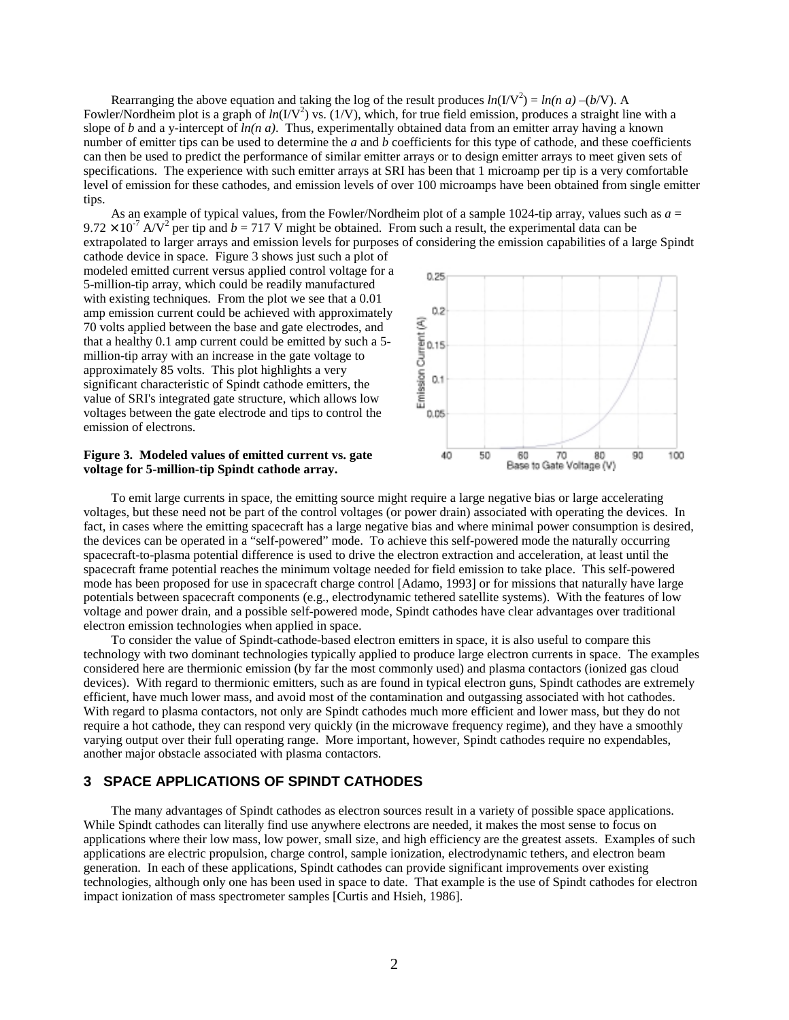Rearranging the above equation and taking the log of the result produces  $ln(I/V^2) = ln(n a) - (b/V)$ . A Fowler/Nordheim plot is a graph of  $ln(I/V^2)$  vs. (1/V), which, for true field emission, produces a straight line with a slope of *b* and a y-intercept of *ln(n a)*. Thus, experimentally obtained data from an emitter array having a known number of emitter tips can be used to determine the *a* and *b* coefficients for this type of cathode, and these coefficients can then be used to predict the performance of similar emitter arrays or to design emitter arrays to meet given sets of specifications. The experience with such emitter arrays at SRI has been that 1 microamp per tip is a very comfortable level of emission for these cathodes, and emission levels of over 100 microamps have been obtained from single emitter tips.

As an example of typical values, from the Fowler/Nordheim plot of a sample 1024-tip array, values such as  $a =$  $9.72 \times 10^{-7}$  A/V<sup>2</sup> per tip and  $b = 717$  V might be obtained. From such a result, the experimental data can be extrapolated to larger arrays and emission levels for purposes of considering the emission capabilities of a large Spindt

cathode device in space. Figure 3 shows just such a plot of modeled emitted current versus applied control voltage for a 5-million-tip array, which could be readily manufactured with existing techniques. From the plot we see that a 0.01 amp emission current could be achieved with approximately 70 volts applied between the base and gate electrodes, and that a healthy 0.1 amp current could be emitted by such a 5 million-tip array with an increase in the gate voltage to approximately 85 volts. This plot highlights a very significant characteristic of Spindt cathode emitters, the value of SRI's integrated gate structure, which allows low voltages between the gate electrode and tips to control the emission of electrons.

#### **Figure 3. Modeled values of emitted current vs. gate voltage for 5-million-tip Spindt cathode array.**



To emit large currents in space, the emitting source might require a large negative bias or large accelerating voltages, but these need not be part of the control voltages (or power drain) associated with operating the devices. In fact, in cases where the emitting spacecraft has a large negative bias and where minimal power consumption is desired, the devices can be operated in a "self-powered" mode. To achieve this self-powered mode the naturally occurring spacecraft-to-plasma potential difference is used to drive the electron extraction and acceleration, at least until the spacecraft frame potential reaches the minimum voltage needed for field emission to take place. This self-powered mode has been proposed for use in spacecraft charge control [Adamo, 1993] or for missions that naturally have large potentials between spacecraft components (e.g., electrodynamic tethered satellite systems). With the features of low voltage and power drain, and a possible self-powered mode, Spindt cathodes have clear advantages over traditional electron emission technologies when applied in space.

To consider the value of Spindt-cathode-based electron emitters in space, it is also useful to compare this technology with two dominant technologies typically applied to produce large electron currents in space. The examples considered here are thermionic emission (by far the most commonly used) and plasma contactors (ionized gas cloud devices). With regard to thermionic emitters, such as are found in typical electron guns, Spindt cathodes are extremely efficient, have much lower mass, and avoid most of the contamination and outgassing associated with hot cathodes. With regard to plasma contactors, not only are Spindt cathodes much more efficient and lower mass, but they do not require a hot cathode, they can respond very quickly (in the microwave frequency regime), and they have a smoothly varying output over their full operating range. More important, however, Spindt cathodes require no expendables, another major obstacle associated with plasma contactors.

# **3 SPACE APPLICATIONS OF SPINDT CATHODES**

The many advantages of Spindt cathodes as electron sources result in a variety of possible space applications. While Spindt cathodes can literally find use anywhere electrons are needed, it makes the most sense to focus on applications where their low mass, low power, small size, and high efficiency are the greatest assets. Examples of such applications are electric propulsion, charge control, sample ionization, electrodynamic tethers, and electron beam generation. In each of these applications, Spindt cathodes can provide significant improvements over existing technologies, although only one has been used in space to date. That example is the use of Spindt cathodes for electron impact ionization of mass spectrometer samples [Curtis and Hsieh, 1986].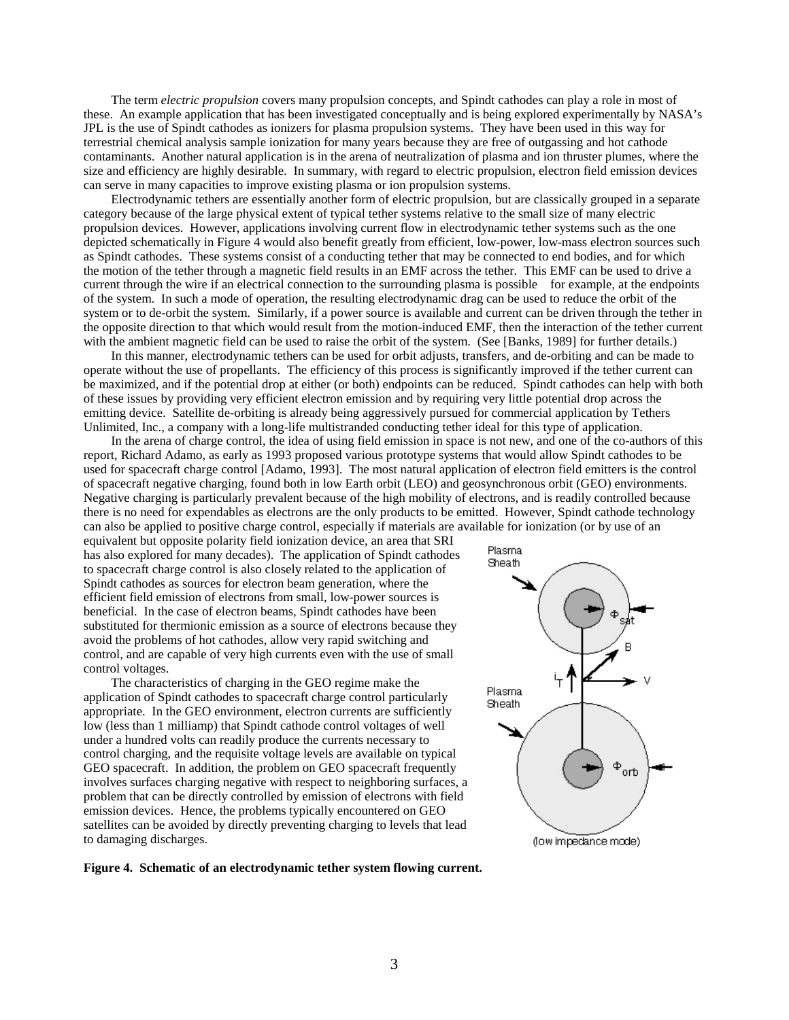The term *electric propulsion* covers many propulsion concepts, and Spindt cathodes can play a role in most of these. An example application that has been investigated conceptually and is being explored experimentally by NASA's JPL is the use of Spindt cathodes as ionizers for plasma propulsion systems. They have been used in this way for terrestrial chemical analysis sample ionization for many years because they are free of outgassing and hot cathode contaminants. Another natural application is in the arena of neutralization of plasma and ion thruster plumes, where the size and efficiency are highly desirable. In summary, with regard to electric propulsion, electron field emission devices can serve in many capacities to improve existing plasma or ion propulsion systems.

Electrodynamic tethers are essentially another form of electric propulsion, but are classically grouped in a separate category because of the large physical extent of typical tether systems relative to the small size of many electric propulsion devices. However, applications involving current flow in electrodynamic tether systems such as the one depicted schematically in Figure 4 would also benefit greatly from efficient, low-power, low-mass electron sources such as Spindt cathodes. These systems consist of a conducting tether that may be connected to end bodies, and for which the motion of the tether through a magnetic field results in an EMF across the tether. This EMF can be used to drive a current through the wire if an electrical connection to the surrounding plasma is possible—for example, at the endpoints of the system. In such a mode of operation, the resulting electrodynamic drag can be used to reduce the orbit of the system or to de-orbit the system. Similarly, if a power source is available and current can be driven through the tether in the opposite direction to that which would result from the motion-induced EMF, then the interaction of the tether current with the ambient magnetic field can be used to raise the orbit of the system. (See [Banks, 1989] for further details.)

In this manner, electrodynamic tethers can be used for orbit adjusts, transfers, and de-orbiting and can be made to operate without the use of propellants. The efficiency of this process is significantly improved if the tether current can be maximized, and if the potential drop at either (or both) endpoints can be reduced. Spindt cathodes can help with both of these issues by providing very efficient electron emission and by requiring very little potential drop across the emitting device. Satellite de-orbiting is already being aggressively pursued for commercial application by Tethers Unlimited, Inc., a company with a long-life multistranded conducting tether ideal for this type of application.

In the arena of charge control, the idea of using field emission in space is not new, and one of the co-authors of this report, Richard Adamo, as early as 1993 proposed various prototype systems that would allow Spindt cathodes to be used for spacecraft charge control [Adamo, 1993]. The most natural application of electron field emitters is the control of spacecraft negative charging, found both in low Earth orbit (LEO) and geosynchronous orbit (GEO) environments. Negative charging is particularly prevalent because of the high mobility of electrons, and is readily controlled because there is no need for expendables as electrons are the only products to be emitted. However, Spindt cathode technology can also be applied to positive charge control, especially if materials are available for ionization (or by use of an

equivalent but opposite polarity field ionization device, an area that SRI has also explored for many decades). The application of Spindt cathodes to spacecraft charge control is also closely related to the application of Spindt cathodes as sources for electron beam generation, where the efficient field emission of electrons from small, low-power sources is beneficial. In the case of electron beams, Spindt cathodes have been substituted for thermionic emission as a source of electrons because they avoid the problems of hot cathodes, allow very rapid switching and control, and are capable of very high currents even with the use of small control voltages.

The characteristics of charging in the GEO regime make the application of Spindt cathodes to spacecraft charge control particularly appropriate. In the GEO environment, electron currents are sufficiently low (less than 1 milliamp) that Spindt cathode control voltages of well under a hundred volts can readily produce the currents necessary to control charging, and the requisite voltage levels are available on typical GEO spacecraft. In addition, the problem on GEO spacecraft frequently involves surfaces charging negative with respect to neighboring surfaces, a problem that can be directly controlled by emission of electrons with field emission devices. Hence, the problems typically encountered on GEO satellites can be avoided by directly preventing charging to levels that lead to damaging discharges.

**Figure 4. Schematic of an electrodynamic tether system flowing current.** 

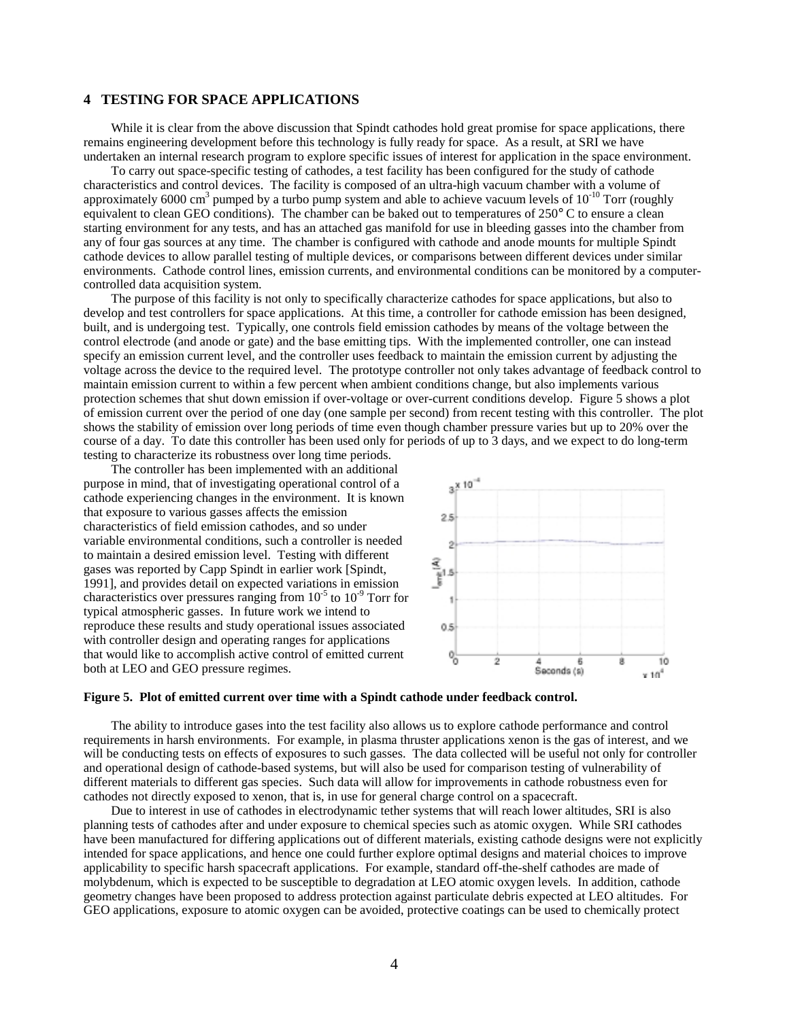# **4 TESTING FOR SPACE APPLICATIONS**

While it is clear from the above discussion that Spindt cathodes hold great promise for space applications, there remains engineering development before this technology is fully ready for space. As a result, at SRI we have undertaken an internal research program to explore specific issues of interest for application in the space environment.

To carry out space-specific testing of cathodes, a test facility has been configured for the study of cathode characteristics and control devices. The facility is composed of an ultra-high vacuum chamber with a volume of approximately 6000 cm<sup>3</sup> pumped by a turbo pump system and able to achieve vacuum levels of  $10^{-10}$  Torr (roughly equivalent to clean GEO conditions). The chamber can be baked out to temperatures of 250° C to ensure a clean starting environment for any tests, and has an attached gas manifold for use in bleeding gasses into the chamber from any of four gas sources at any time. The chamber is configured with cathode and anode mounts for multiple Spindt cathode devices to allow parallel testing of multiple devices, or comparisons between different devices under similar environments. Cathode control lines, emission currents, and environmental conditions can be monitored by a computercontrolled data acquisition system.

The purpose of this facility is not only to specifically characterize cathodes for space applications, but also to develop and test controllers for space applications. At this time, a controller for cathode emission has been designed, built, and is undergoing test. Typically, one controls field emission cathodes by means of the voltage between the control electrode (and anode or gate) and the base emitting tips. With the implemented controller, one can instead specify an emission current level, and the controller uses feedback to maintain the emission current by adjusting the voltage across the device to the required level. The prototype controller not only takes advantage of feedback control to maintain emission current to within a few percent when ambient conditions change, but also implements various protection schemes that shut down emission if over-voltage or over-current conditions develop. Figure 5 shows a plot of emission current over the period of one day (one sample per second) from recent testing with this controller. The plot shows the stability of emission over long periods of time even though chamber pressure varies but up to 20% over the course of a day. To date this controller has been used only for periods of up to 3 days, and we expect to do long-term testing to characterize its robustness over long time periods.

The controller has been implemented with an additional purpose in mind, that of investigating operational control of a cathode experiencing changes in the environment. It is known that exposure to various gasses affects the emission characteristics of field emission cathodes, and so under variable environmental conditions, such a controller is needed to maintain a desired emission level. Testing with different gases was reported by Capp Spindt in earlier work [Spindt, 1991], and provides detail on expected variations in emission characteristics over pressures ranging from  $10^{-5}$  to  $10^{-9}$  Torr for typical atmospheric gasses. In future work we intend to reproduce these results and study operational issues associated with controller design and operating ranges for applications that would like to accomplish active control of emitted current both at LEO and GEO pressure regimes.



#### **Figure 5. Plot of emitted current over time with a Spindt cathode under feedback control.**

The ability to introduce gases into the test facility also allows us to explore cathode performance and control requirements in harsh environments. For example, in plasma thruster applications xenon is the gas of interest, and we will be conducting tests on effects of exposures to such gasses. The data collected will be useful not only for controller and operational design of cathode-based systems, but will also be used for comparison testing of vulnerability of different materials to different gas species. Such data will allow for improvements in cathode robustness even for cathodes not directly exposed to xenon, that is, in use for general charge control on a spacecraft.

Due to interest in use of cathodes in electrodynamic tether systems that will reach lower altitudes, SRI is also planning tests of cathodes after and under exposure to chemical species such as atomic oxygen. While SRI cathodes have been manufactured for differing applications out of different materials, existing cathode designs were not explicitly intended for space applications, and hence one could further explore optimal designs and material choices to improve applicability to specific harsh spacecraft applications. For example, standard off-the-shelf cathodes are made of molybdenum, which is expected to be susceptible to degradation at LEO atomic oxygen levels. In addition, cathode geometry changes have been proposed to address protection against particulate debris expected at LEO altitudes. For GEO applications, exposure to atomic oxygen can be avoided, protective coatings can be used to chemically protect